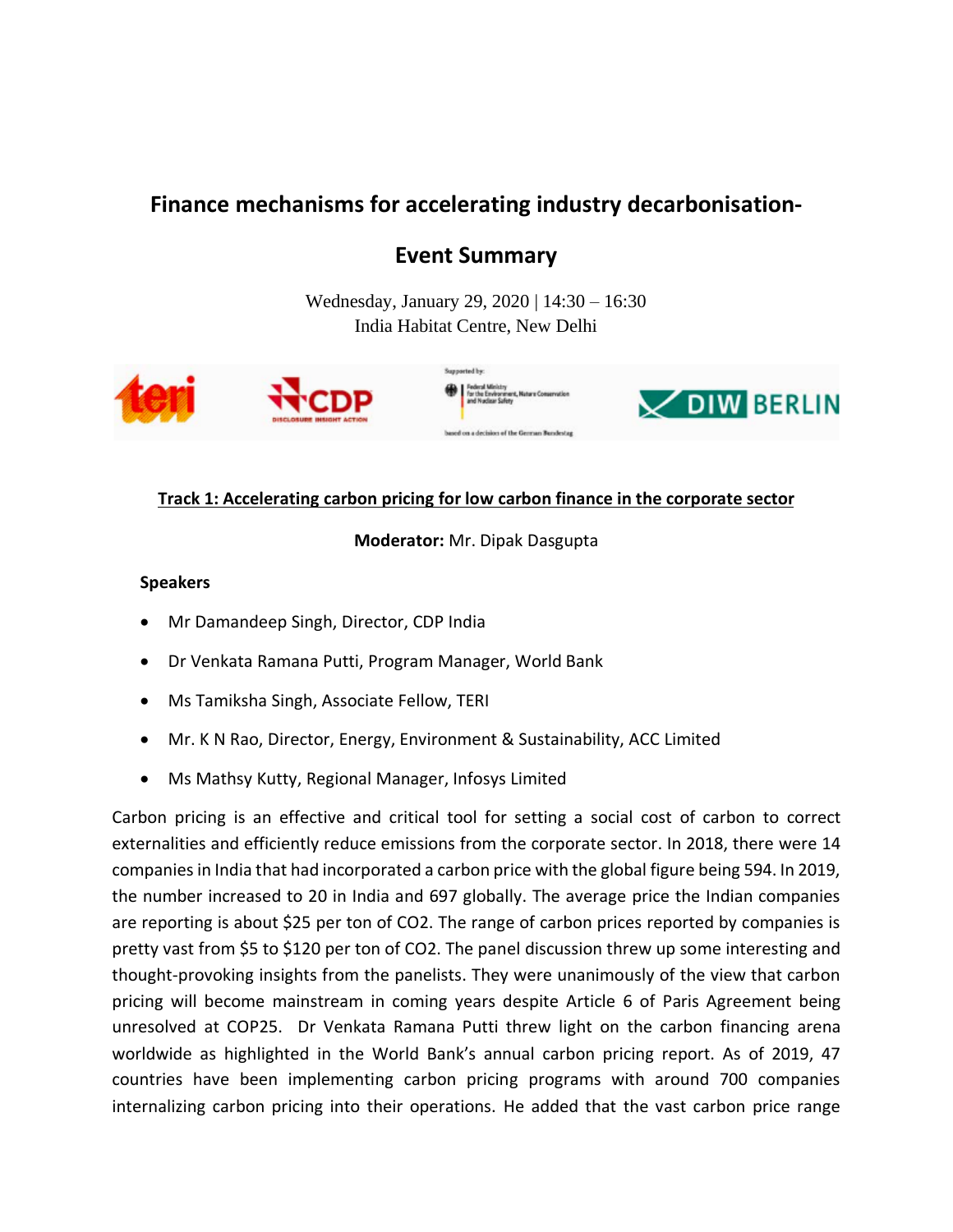## **Finance mechanisms for accelerating industry decarbonisation-**

# **Event Summary**

Wednesday, January 29, 2020 | 14:30 – 16:30 India Habitat Centre, New Delhi



## **Track 1: Accelerating carbon pricing for low carbon finance in the corporate sector**

#### **Moderator:** Mr. Dipak Dasgupta

### **Speakers**

- Mr Damandeep Singh, Director, CDP India
- Dr Venkata Ramana Putti, Program Manager, World Bank
- Ms Tamiksha Singh, Associate Fellow, TERI
- Mr. K N Rao, Director, Energy, Environment & Sustainability, ACC Limited
- Ms Mathsy Kutty, Regional Manager, Infosys Limited

Carbon pricing is an effective and critical tool for setting a social cost of carbon to correct externalities and efficiently reduce emissions from the corporate sector. In 2018, there were 14 companies in India that had incorporated a carbon price with the global figure being 594. In 2019, the number increased to 20 in India and 697 globally. The average price the Indian companies are reporting is about \$25 per ton of CO2. The range of carbon prices reported by companies is pretty vast from \$5 to \$120 per ton of CO2. The panel discussion threw up some interesting and thought-provoking insights from the panelists. They were unanimously of the view that carbon pricing will become mainstream in coming years despite Article 6 of Paris Agreement being unresolved at COP25. Dr Venkata Ramana Putti threw light on the carbon financing arena worldwide as highlighted in the World Bank's annual carbon pricing report. As of 2019, 47 countries have been implementing carbon pricing programs with around 700 companies internalizing carbon pricing into their operations. He added that the vast carbon price range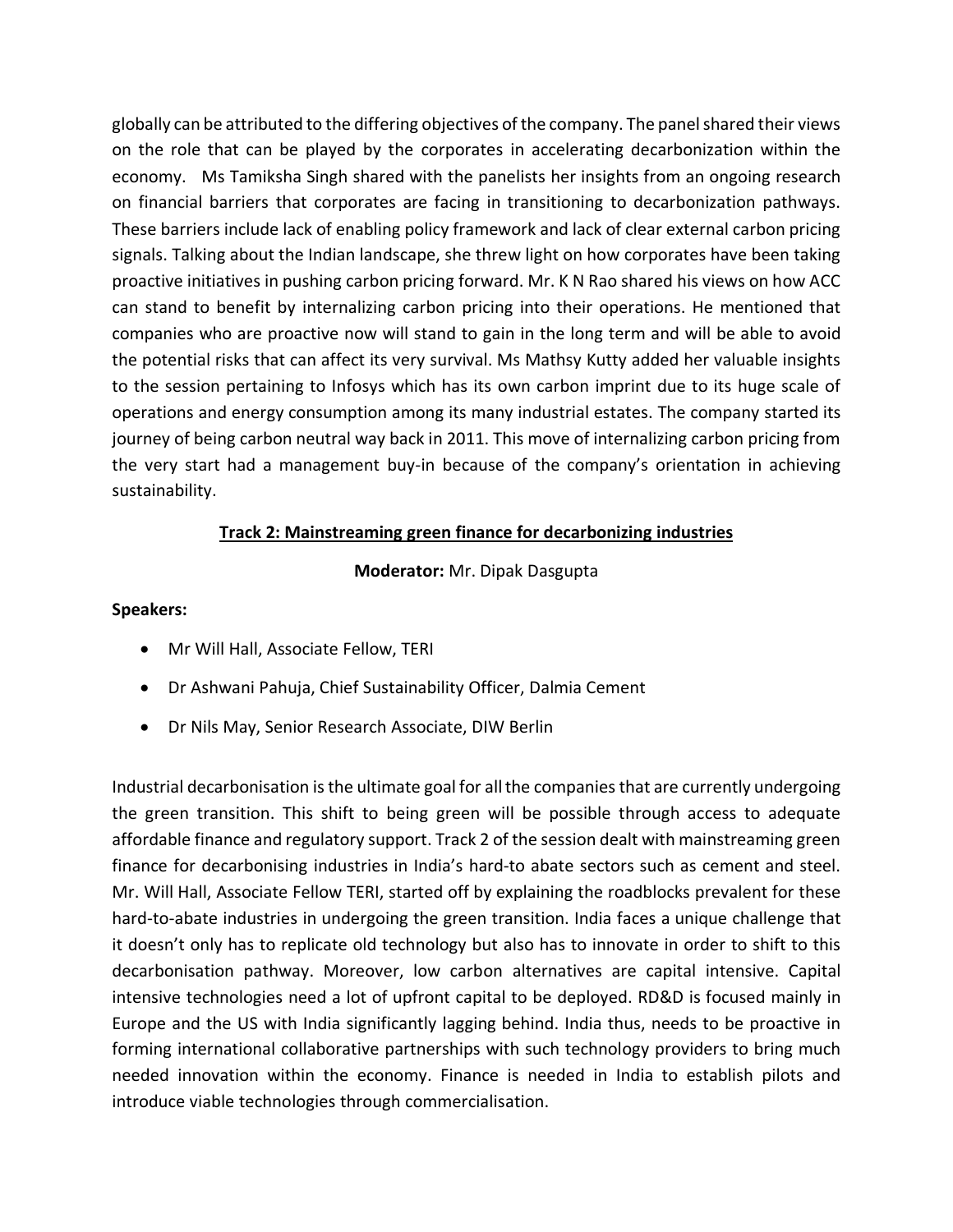globally can be attributed to the differing objectives of the company. The panelshared their views on the role that can be played by the corporates in accelerating decarbonization within the economy. Ms Tamiksha Singh shared with the panelists her insights from an ongoing research on financial barriers that corporates are facing in transitioning to decarbonization pathways. These barriers include lack of enabling policy framework and lack of clear external carbon pricing signals. Talking about the Indian landscape, she threw light on how corporates have been taking proactive initiatives in pushing carbon pricing forward. Mr. K N Rao shared his views on how ACC can stand to benefit by internalizing carbon pricing into their operations. He mentioned that companies who are proactive now will stand to gain in the long term and will be able to avoid the potential risks that can affect its very survival. Ms Mathsy Kutty added her valuable insights to the session pertaining to Infosys which has its own carbon imprint due to its huge scale of operations and energy consumption among its many industrial estates. The company started its journey of being carbon neutral way back in 2011. This move of internalizing carbon pricing from the very start had a management buy-in because of the company's orientation in achieving sustainability.

### **Track 2: Mainstreaming green finance for decarbonizing industries**

#### **Moderator:** Mr. Dipak Dasgupta

#### **Speakers:**

- Mr Will Hall, Associate Fellow, TERI
- Dr Ashwani Pahuja, Chief Sustainability Officer, Dalmia Cement
- Dr Nils May, Senior Research Associate, DIW Berlin

Industrial decarbonisation is the ultimate goal for all the companies that are currently undergoing the green transition. This shift to being green will be possible through access to adequate affordable finance and regulatory support. Track 2 of the session dealt with mainstreaming green finance for decarbonising industries in India's hard-to abate sectors such as cement and steel. Mr. Will Hall, Associate Fellow TERI, started off by explaining the roadblocks prevalent for these hard-to-abate industries in undergoing the green transition. India faces a unique challenge that it doesn't only has to replicate old technology but also has to innovate in order to shift to this decarbonisation pathway. Moreover, low carbon alternatives are capital intensive. Capital intensive technologies need a lot of upfront capital to be deployed. RD&D is focused mainly in Europe and the US with India significantly lagging behind. India thus, needs to be proactive in forming international collaborative partnerships with such technology providers to bring much needed innovation within the economy. Finance is needed in India to establish pilots and introduce viable technologies through commercialisation.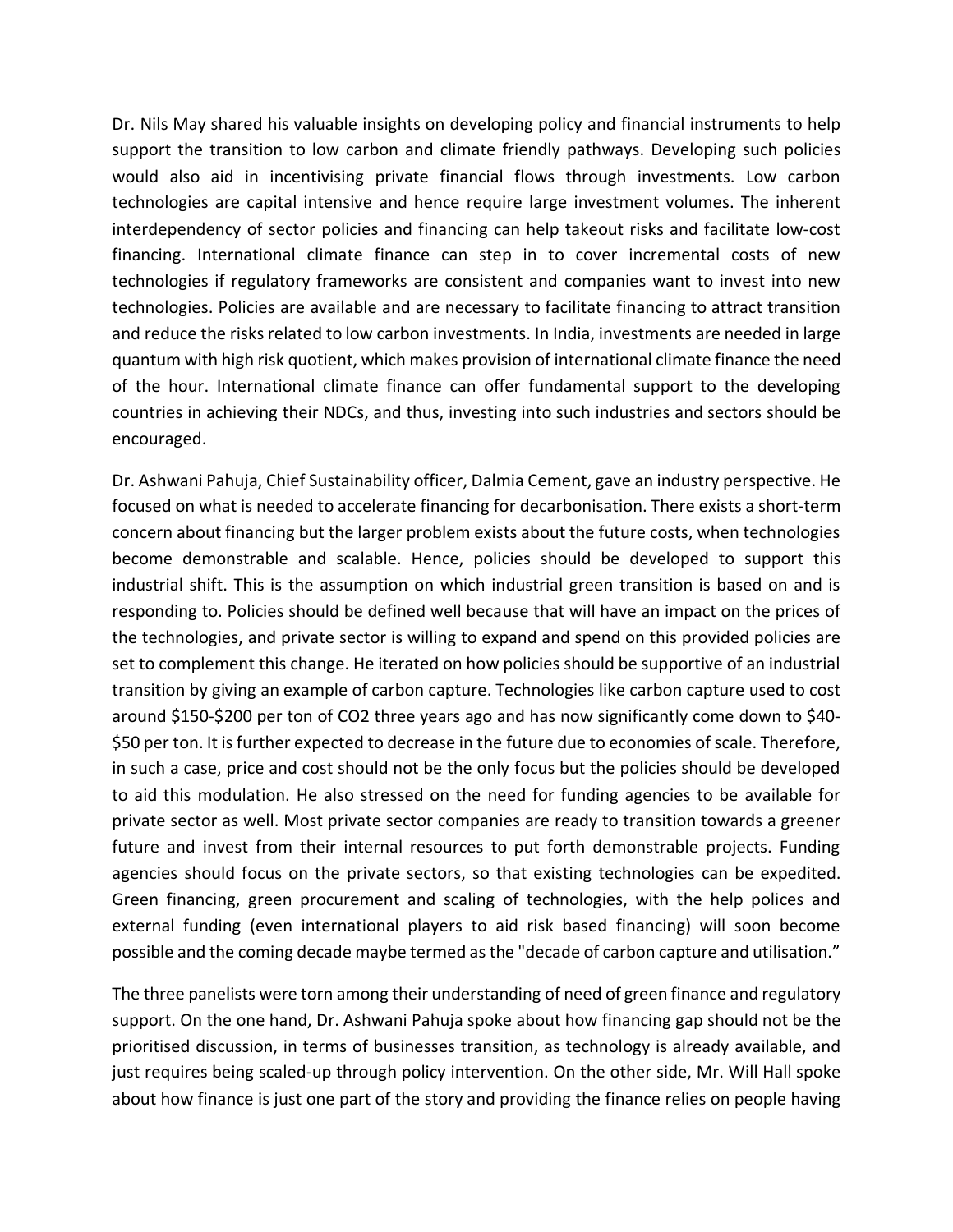Dr. Nils May shared his valuable insights on developing policy and financial instruments to help support the transition to low carbon and climate friendly pathways. Developing such policies would also aid in incentivising private financial flows through investments. Low carbon technologies are capital intensive and hence require large investment volumes. The inherent interdependency of sector policies and financing can help takeout risks and facilitate low-cost financing. International climate finance can step in to cover incremental costs of new technologies if regulatory frameworks are consistent and companies want to invest into new technologies. Policies are available and are necessary to facilitate financing to attract transition and reduce the risks related to low carbon investments. In India, investments are needed in large quantum with high risk quotient, which makes provision of international climate finance the need of the hour. International climate finance can offer fundamental support to the developing countries in achieving their NDCs, and thus, investing into such industries and sectors should be encouraged.

Dr. Ashwani Pahuja, Chief Sustainability officer, Dalmia Cement, gave an industry perspective. He focused on what is needed to accelerate financing for decarbonisation. There exists a short-term concern about financing but the larger problem exists about the future costs, when technologies become demonstrable and scalable. Hence, policies should be developed to support this industrial shift. This is the assumption on which industrial green transition is based on and is responding to. Policies should be defined well because that will have an impact on the prices of the technologies, and private sector is willing to expand and spend on this provided policies are set to complement this change. He iterated on how policies should be supportive of an industrial transition by giving an example of carbon capture. Technologies like carbon capture used to cost around \$150-\$200 per ton of CO2 three years ago and has now significantly come down to \$40- \$50 per ton. It is further expected to decrease in the future due to economies of scale. Therefore, in such a case, price and cost should not be the only focus but the policies should be developed to aid this modulation. He also stressed on the need for funding agencies to be available for private sector as well. Most private sector companies are ready to transition towards a greener future and invest from their internal resources to put forth demonstrable projects. Funding agencies should focus on the private sectors, so that existing technologies can be expedited. Green financing, green procurement and scaling of technologies, with the help polices and external funding (even international players to aid risk based financing) will soon become possible and the coming decade maybe termed as the "decade of carbon capture and utilisation."

The three panelists were torn among their understanding of need of green finance and regulatory support. On the one hand, Dr. Ashwani Pahuja spoke about how financing gap should not be the prioritised discussion, in terms of businesses transition, as technology is already available, and just requires being scaled-up through policy intervention. On the other side, Mr. Will Hall spoke about how finance is just one part of the story and providing the finance relies on people having